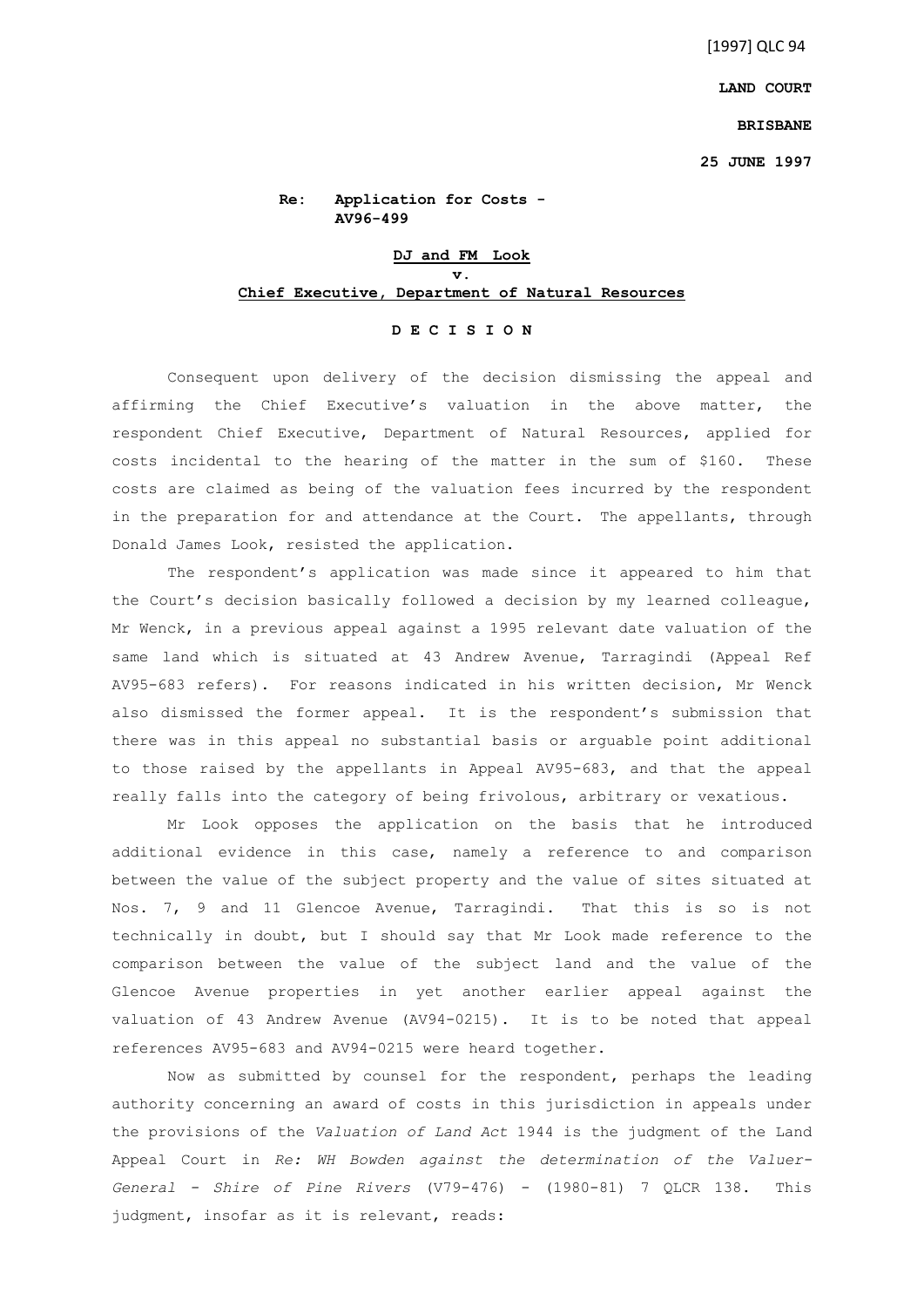**LAND COURT**

## **BRISBANE**

**25 JUNE 1997**

**Re: Application for Costs - AV96-499** 

## **DJ and FM Look v. Chief Executive, Department of Natural Resources**

## **D E C I S I O N**

Consequent upon delivery of the decision dismissing the appeal and affirming the Chief Executive's valuation in the above matter, the respondent Chief Executive, Department of Natural Resources, applied for costs incidental to the hearing of the matter in the sum of \$160. These costs are claimed as being of the valuation fees incurred by the respondent in the preparation for and attendance at the Court. The appellants, through Donald James Look, resisted the application.

The respondent's application was made since it appeared to him that the Court's decision basically followed a decision by my learned colleague, Mr Wenck, in a previous appeal against a 1995 relevant date valuation of the same land which is situated at 43 Andrew Avenue, Tarragindi (Appeal Ref AV95-683 refers). For reasons indicated in his written decision, Mr Wenck also dismissed the former appeal. It is the respondent's submission that there was in this appeal no substantial basis or arguable point additional to those raised by the appellants in Appeal AV95-683, and that the appeal really falls into the category of being frivolous, arbitrary or vexatious.

Mr Look opposes the application on the basis that he introduced additional evidence in this case, namely a reference to and comparison between the value of the subject property and the value of sites situated at Nos. 7, 9 and 11 Glencoe Avenue, Tarragindi. That this is so is not technically in doubt, but I should say that Mr Look made reference to the comparison between the value of the subject land and the value of the Glencoe Avenue properties in yet another earlier appeal against the valuation of 43 Andrew Avenue (AV94-0215). It is to be noted that appeal references AV95-683 and AV94-0215 were heard together.

Now as submitted by counsel for the respondent, perhaps the leading authority concerning an award of costs in this jurisdiction in appeals under the provisions of the *Valuation of Land Act* 1944 is the judgment of the Land Appeal Court in *Re: WH Bowden against the determination of the Valuer-General - Shire of Pine Rivers* (V79-476) - (1980-81) 7 QLCR 138. This judgment, insofar as it is relevant, reads: